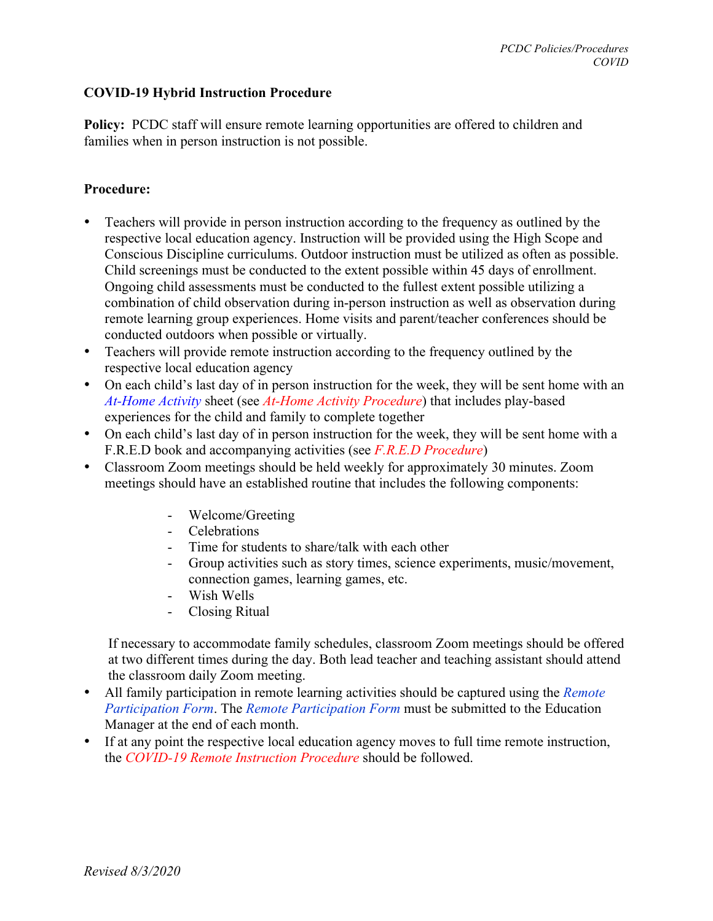## **COVID-19 Hybrid Instruction Procedure**

**Policy:** PCDC staff will ensure remote learning opportunities are offered to children and families when in person instruction is not possible.

## **Procedure:**

- Teachers will provide in person instruction according to the frequency as outlined by the respective local education agency. Instruction will be provided using the High Scope and Conscious Discipline curriculums. Outdoor instruction must be utilized as often as possible. Child screenings must be conducted to the extent possible within 45 days of enrollment. Ongoing child assessments must be conducted to the fullest extent possible utilizing a combination of child observation during in-person instruction as well as observation during remote learning group experiences. Home visits and parent/teacher conferences should be conducted outdoors when possible or virtually.
- Teachers will provide remote instruction according to the frequency outlined by the respective local education agency
- On each child's last day of in person instruction for the week, they will be sent home with an *At-Home Activity* sheet (see *At-Home Activity Procedure*) that includes play-based experiences for the child and family to complete together
- On each child's last day of in person instruction for the week, they will be sent home with a F.R.E.D book and accompanying activities (see *F.R.E.D Procedure*)
- Classroom Zoom meetings should be held weekly for approximately 30 minutes. Zoom meetings should have an established routine that includes the following components:
	- Welcome/Greeting
	- Celebrations
	- Time for students to share/talk with each other
	- Group activities such as story times, science experiments, music/movement, connection games, learning games, etc.
	- Wish Wells
	- Closing Ritual

 If necessary to accommodate family schedules, classroom Zoom meetings should be offered at two different times during the day. Both lead teacher and teaching assistant should attend the classroom daily Zoom meeting.

- All family participation in remote learning activities should be captured using the *Remote Participation Form*. The *Remote Participation Form* must be submitted to the Education Manager at the end of each month.
- If at any point the respective local education agency moves to full time remote instruction, the *COVID-19 Remote Instruction Procedure* should be followed.